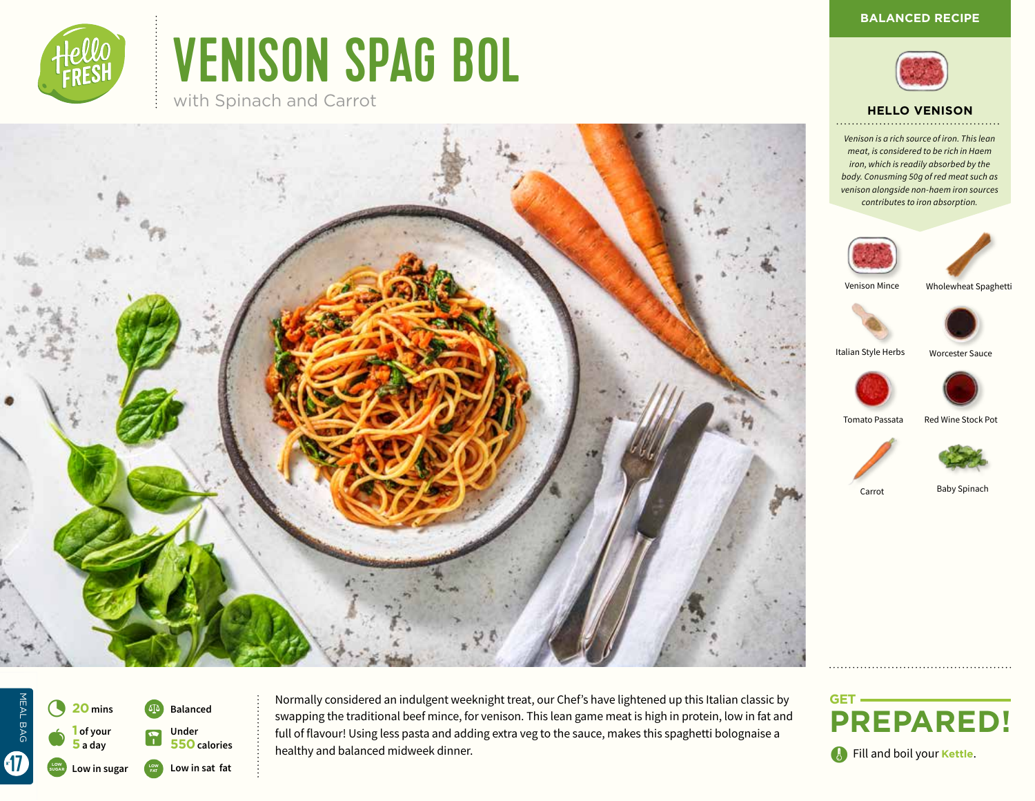

# VENISON SPAG BOL

with Spinach and Carrot





#### **HELLO VENISON**

*Venison is a rich source of iron. This lean meat, is considered to be rich in Haem iron, which is readily absorbed by the body. Conusming 50g of red meat such as venison alongside non-haem iron sources contributes to iron absorption.*





Venison Mince

Wholewheat Spaghetti



Worcester Sauce

Italian Style Herbs



Tomato Passata Red Wine Stock Pot





Carrot

Baby Spinach

 $\bullet$ 4 **<sup>20</sup> mins 1 of your 5 a day Balanced** L **Under 550 calories LOW Low in sat fat SUGAR Low in sugar**

MEAL BAG

MEAL BAG

**17** 

Normally considered an indulgent weeknight treat, our Chef's have lightened up this Italian classic by swapping the traditional beef mince, for venison. This lean game meat is high in protein, low in fat and full of flavour! Using less pasta and adding extra veg to the sauce, makes this spaghetti bolognaise a healthy and balanced midweek dinner.